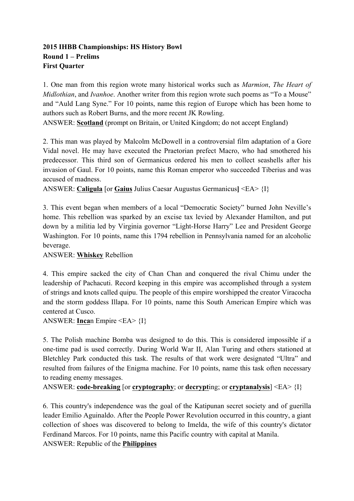### **2015 IHBB Championships: HS History Bowl Round 1 – Prelims First Quarter**

1. One man from this region wrote many historical works such as *Marmion*, *The Heart of Midlothian*, and *Ivanhoe*. Another writer from this region wrote such poems as "To a Mouse" and "Auld Lang Syne." For 10 points, name this region of Europe which has been home to authors such as Robert Burns, and the more recent JK Rowling.

ANSWER: **Scotland** (prompt on Britain, or United Kingdom; do not accept England)

2. This man was played by Malcolm McDowell in a controversial film adaptation of a Gore Vidal novel. He may have executed the Praetorian prefect Macro, who had smothered his predecessor. This third son of Germanicus ordered his men to collect seashells after his invasion of Gaul. For 10 points, name this Roman emperor who succeeded Tiberius and was accused of madness.

ANSWER: **Caligula** [or **Gaius** Julius Caesar Augustus Germanicus**]** <EA> {I}

3. This event began when members of a local "Democratic Society" burned John Neville's home. This rebellion was sparked by an excise tax levied by Alexander Hamilton, and put down by a militia led by Virginia governor "Light-Horse Harry" Lee and President George Washington. For 10 points, name this 1794 rebellion in Pennsylvania named for an alcoholic beverage.

ANSWER: **Whiskey** Rebellion

4. This empire sacked the city of Chan Chan and conquered the rival Chimu under the leadership of Pachacuti. Record keeping in this empire was accomplished through a system of strings and knots called quipu. The people of this empire worshipped the creator Viracocha and the storm goddess Illapa. For 10 points, name this South American Empire which was centered at Cusco.

ANSWER: **Inca**n Empire <EA> {I}

5. The Polish machine Bomba was designed to do this. This is considered impossible if a one-time pad is used correctly. During World War II, Alan Turing and others stationed at Bletchley Park conducted this task. The results of that work were designated "Ultra" and resulted from failures of the Enigma machine. For 10 points, name this task often necessary to reading enemy messages.

```
ANSWER: code-breaking [or cryptography; or decrypting; or cryptanalysis] <EA> {I}
```
6. This country's independence was the goal of the Katipunan secret society and of guerilla leader Emilio Aguinaldo. After the People Power Revolution occurred in this country, a giant collection of shoes was discovered to belong to Imelda, the wife of this country's dictator Ferdinand Marcos. For 10 points, name this Pacific country with capital at Manila. ANSWER: Republic of the **Philippines**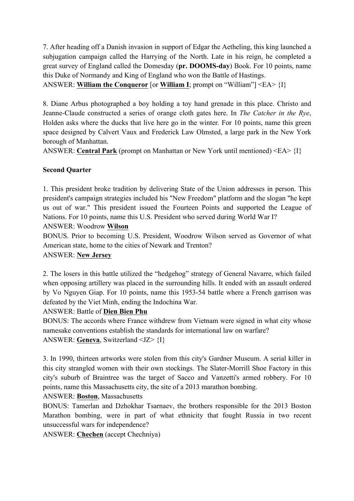7. After heading off a Danish invasion in support of Edgar the Aetheling, this king launched a subjugation campaign called the Harrying of the North. Late in his reign, he completed a great survey of England called the Domesday (**pr. DOOMS-day**) Book. For 10 points, name this Duke of Normandy and King of England who won the Battle of Hastings.

ANSWER: **William the Conqueror** [or **William I**; prompt on "William"] <EA> {I}

8. Diane Arbus photographed a boy holding a toy hand grenade in this place. Christo and Jeanne-Claude constructed a series of orange cloth gates here. In *The Catcher in the Rye*, Holden asks where the ducks that live here go in the winter. For 10 points, name this green space designed by Calvert Vaux and Frederick Law Olmsted, a large park in the New York borough of Manhattan.

ANSWER: **Central Park** (prompt on Manhattan or New York until mentioned) <EA> {I}

# **Second Quarter**

1. This president broke tradition by delivering State of the Union addresses in person. This president's campaign strategies included his "New Freedom" platform and the slogan "he kept us out of war." This president issued the Fourteen Points and supported the League of Nations. For 10 points, name this U.S. President who served during World War I? ANSWER: Woodrow **Wilson**

BONUS. Prior to becoming U.S. President, Woodrow Wilson served as Governor of what American state, home to the cities of Newark and Trenton?

### ANSWER: **New Jersey**

2. The losers in this battle utilized the "hedgehog" strategy of General Navarre, which failed when opposing artillery was placed in the surrounding hills. It ended with an assault ordered by Vo Nguyen Giap. For 10 points, name this 1953-54 battle where a French garrison was defeated by the Viet Minh, ending the Indochina War.

#### ANSWER: Battle of **Dien Bien Phu**

BONUS: The accords where France withdrew from Vietnam were signed in what city whose namesake conventions establish the standards for international law on warfare? ANSWER: **Geneva**, Switzerland <JZ> {I}

3. In 1990, thirteen artworks were stolen from this city's Gardner Museum. A serial killer in this city strangled women with their own stockings. The Slater-Morrill Shoe Factory in this city's suburb of Braintree was the target of Sacco and Vanzetti's armed robbery. For 10 points, name this Massachusetts city, the site of a 2013 marathon bombing.

ANSWER: **Boston**, Massachusetts

BONUS: Tamerlan and Dzhokhar Tsarnaev, the brothers responsible for the 2013 Boston Marathon bombing, were in part of what ethnicity that fought Russia in two recent unsuccessful wars for independence?

ANSWER: **Chechen** (accept Chechniya)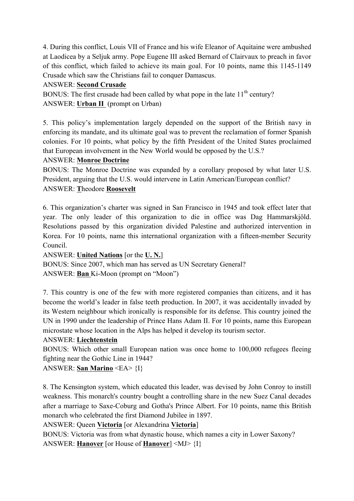4. During this conflict, Louis VII of France and his wife Eleanor of Aquitaine were ambushed at Laodicea by a Seljuk army. Pope Eugene III asked Bernard of Clairvaux to preach in favor of this conflict, which failed to achieve its main goal. For 10 points, name this 1145-1149 Crusade which saw the Christians fail to conquer Damascus.

### ANSWER: **Second Crusade**

BONUS: The first crusade had been called by what pope in the late  $11<sup>th</sup>$  century? ANSWER: **Urban II** (prompt on Urban)

5. This policy's implementation largely depended on the support of the British navy in enforcing its mandate, and its ultimate goal was to prevent the reclamation of former Spanish colonies. For 10 points, what policy by the fifth President of the United States proclaimed that European involvement in the New World would be opposed by the U.S.?

# ANSWER: **Monroe Doctrine**

BONUS: The Monroe Doctrine was expanded by a corollary proposed by what later U.S. President, arguing that the U.S. would intervene in Latin American/European conflict? ANSWER: **T**heodore **Roosevelt**

6. This organization's charter was signed in San Francisco in 1945 and took effect later that year. The only leader of this organization to die in office was Dag Hammarskjöld. Resolutions passed by this organization divided Palestine and authorized intervention in Korea. For 10 points, name this international organization with a fifteen-member Security Council.

ANSWER: **United Nations** [or the **U. N.**]

BONUS: Since 2007, which man has served as UN Secretary General? ANSWER: **Ban** Ki-Moon (prompt on "Moon")

7. This country is one of the few with more registered companies than citizens, and it has become the world's leader in false teeth production. In 2007, it was accidentally invaded by its Western neighbour which ironically is responsible for its defense. This country joined the UN in 1990 under the leadership of Prince Hans Adam II. For 10 points, name this European microstate whose location in the Alps has helped it develop its tourism sector.

#### ANSWER: **Liechtenstein**

BONUS: Which other small European nation was once home to 100,000 refugees fleeing fighting near the Gothic Line in 1944?

# ANSWER: **San Marino** <EA> {I}

8. The Kensington system, which educated this leader, was devised by John Conroy to instill weakness. This monarch's country bought a controlling share in the new Suez Canal decades after a marriage to Saxe-Coburg and Gotha's Prince Albert. For 10 points, name this British monarch who celebrated the first Diamond Jubilee in 1897.

ANSWER: Queen **Victoria** [or Alexandrina **Victoria**]

BONUS: Victoria was from what dynastic house, which names a city in Lower Saxony? ANSWER: **Hanover** [or House of **Hanover**] <MJ> {I}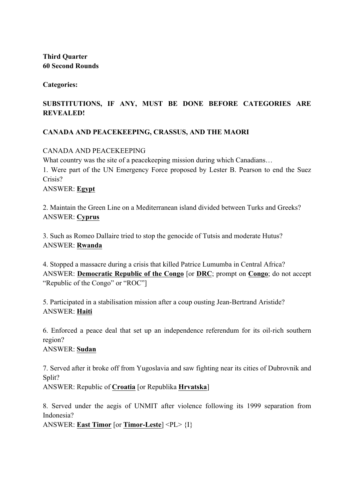**Third Quarter 60 Second Rounds** 

**Categories:**

# **SUBSTITUTIONS, IF ANY, MUST BE DONE BEFORE CATEGORIES ARE REVEALED!**

# **CANADA AND PEACEKEEPING, CRASSUS, AND THE MAORI**

CANADA AND PEACEKEEPING

What country was the site of a peace keeping mission during which Canadians... 1. Were part of the UN Emergency Force proposed by Lester B. Pearson to end the Suez Crisis? ANSWER: **Egypt**

2. Maintain the Green Line on a Mediterranean island divided between Turks and Greeks? ANSWER: **Cyprus**

3. Such as Romeo Dallaire tried to stop the genocide of Tutsis and moderate Hutus? ANSWER: **Rwanda**

4. Stopped a massacre during a crisis that killed Patrice Lumumba in Central Africa? ANSWER: **Democratic Republic of the Congo** [or **DRC**; prompt on **Congo**; do not accept "Republic of the Congo" or "ROC"]

5. Participated in a stabilisation mission after a coup ousting Jean-Bertrand Aristide? ANSWER: **Haiti**

6. Enforced a peace deal that set up an independence referendum for its oil-rich southern region?

ANSWER: **Sudan**

7. Served after it broke off from Yugoslavia and saw fighting near its cities of Dubrovnik and Split?

ANSWER: Republic of **Croatia** [or Republika **Hrvatska**]

8. Served under the aegis of UNMIT after violence following its 1999 separation from Indonesia?

ANSWER: **East Timor** [or **Timor-Leste**] <PL> {I}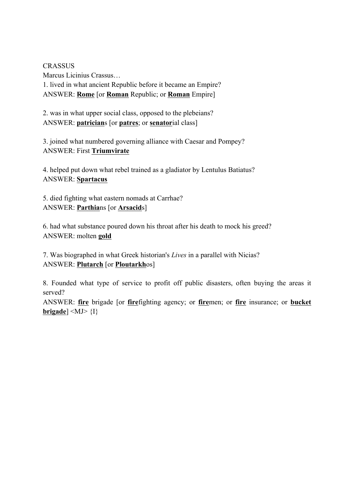**CRASSUS** Marcus Licinius Crassus… 1. lived in what ancient Republic before it became an Empire? ANSWER: **Rome** [or **Roman** Republic; or **Roman** Empire]

2. was in what upper social class, opposed to the plebeians? ANSWER: **patrician**s [or **patres**; or **senator**ial class]

3. joined what numbered governing alliance with Caesar and Pompey? ANSWER: First **Triumvirate**

4. helped put down what rebel trained as a gladiator by Lentulus Batiatus? ANSWER: **Spartacus**

5. died fighting what eastern nomads at Carrhae? ANSWER: **Parthia**ns [or **Arsacid**s]

6. had what substance poured down his throat after his death to mock his greed? ANSWER: molten **gold**

7. Was biographed in what Greek historian's *Lives* in a parallel with Nicias? ANSWER: **Plutarch** [or **Ploutarkh**os]

8. Founded what type of service to profit off public disasters, often buying the areas it served?

ANSWER: **fire** brigade [or **fire**fighting agency; or **fire**men; or **fire** insurance; or **bucket brigade**]  $\langle MJ\rangle$   $\{I\}$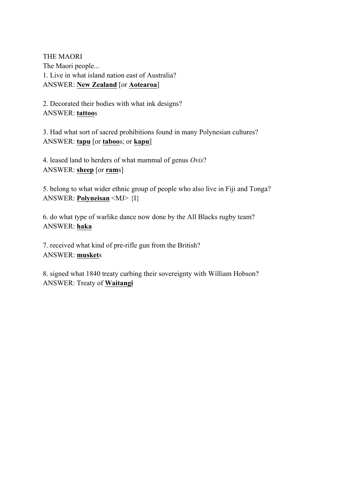THE MAORI The Maori people... 1. Live in what island nation east of Australia? ANSWER: **New Zealand** [or **Aotearoa**]

2. Decorated their bodies with what ink designs? ANSWER: **tattoo**s

3. Had what sort of sacred prohibitions found in many Polynesian cultures? ANSWER: **tapu** [or **taboo**s; or **kapu**]

4. leased land to herders of what mammal of genus *Ovis*? ANSWER: **sheep** [or **ram**s]

5. belong to what wider ethnic group of people who also live in Fiji and Tonga? ANSWER: **Polyneisan** <MJ> {I}

6. do what type of warlike dance now done by the All Blacks rugby team? ANSWER: **haka**

7. received what kind of pre-rifle gun from the British? ANSWER: **musket**s

8. signed what 1840 treaty curbing their sovereignty with William Hobson? ANSWER: Treaty of **Waitangi**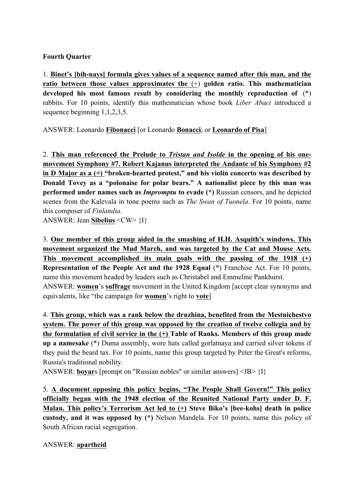#### **Fourth Quarter**

1. **Binet's [bih-nays] formula gives values of a sequence named after this man, and the ratio between those values approximates the** (+) **golden ratio. This mathematician developed his most famous result by considering the monthly reproduction of** (\*) rabbits. For 10 points, identify this mathematician whose book *Liber Abaci* introduced a sequence beginning 1,1,2,3,5.

ANSWER: Leonardo **Fibonacci** [or Leonardo **Bonacci**; or **Leonardo of Pisa**]

2. **This man referenced the Prelude to** *Tristan and Isolde* **in the opening of his onemovement Symphony #7. Robert Kajanus interpreted the Andante of his Symphony #2 in D Major as a (+) "broken-hearted protest," and his violin concerto was described by Donald Tovey as a "polonaise for polar bears." A nationalist piece by this man was performed under names such as** *Impromptu* **to evade (\*)** Russian censors, and he depicted scenes from the Kalevala in tone poems such as *The Swan of Tuonela*. For 10 points, name this composer of *Finlandia*.

ANSWER: Jean **Sibelius** <CW> {I}

3. **One member of this group aided in the smashing of H.H. Asquith's windows. This movement organized the Mud March, and was targeted by the Cat and Mouse Acts. This movement accomplished its main goals with the passing of the 1918 (+) Representation of the People Act and the 1928 Equal** (\*) Franchise Act. For 10 points, name this movement headed by leaders such as Christabel and Emmeline Pankhurst. ANSWER: **women**'s **suffrage** movement in the United Kingdom [accept clear synonyms and equivalents, like "the campaign for **women**'s right to **vote**]

4. **This group, which was a rank below the druzhina, benefited from the Mestnichestvo system. The power of this group was opposed by the creation of twelve collegia and by the formulation of civil service in the (+) Table of Ranks. Members of this group made up a namesake** (\*) Duma assembly, wore hats called gorlatnaya and carried silver tokens if they paid the beard tax. For 10 points, name this group targeted by Peter the Great's reforms, Russia's traditional nobility.

ANSWER: **boyar**s [prompt on "Russian nobles" or similar answers] <JB> {I}

5. **A document opposing this policy begins, "The People Shall Govern!" This policy officially began with the 1948 election of the Reunited National Party under D. F. Malan. This policy's Terrorism Act led to (+) Steve Biko's [bee-kohs] death in police custody, and it was opposed by (\*)** Nelson Mandela. For 10 points, name this policy of South African racial segregation.

ANSWER: **apartheid**